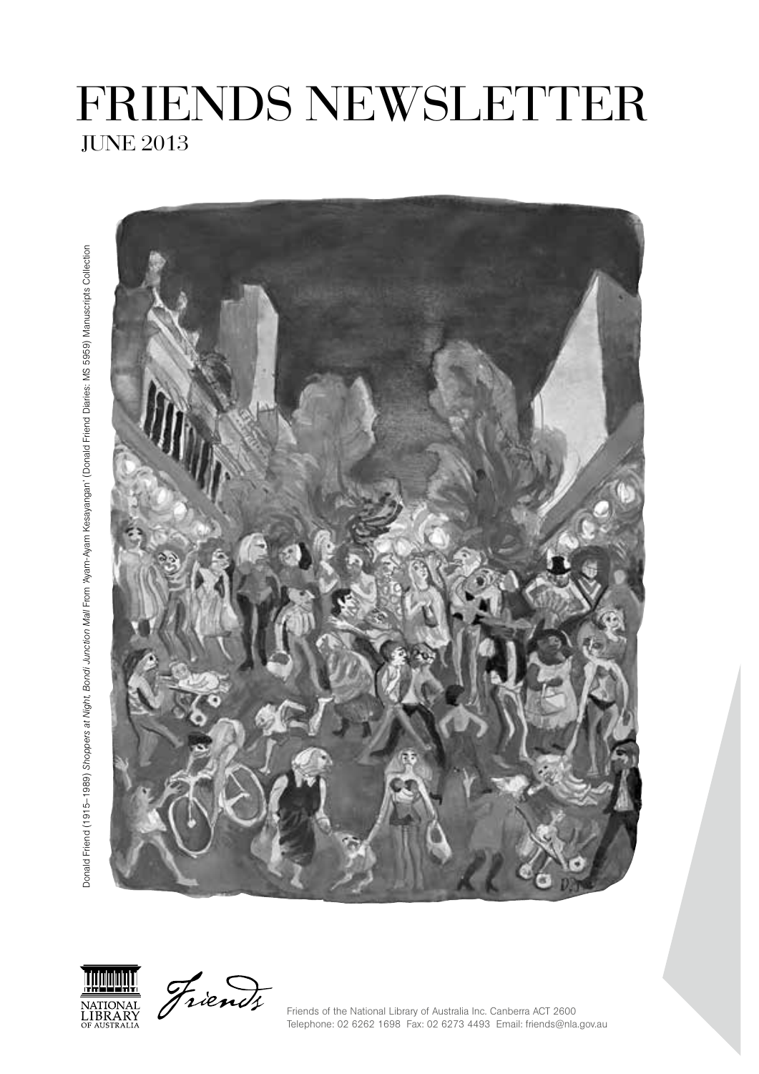# JUNE 2013 FRIENDS NEWSLETTER



Donald Friend (1915–1989) *Shoppers at Night, Bondi Junction Mall* From 'Ayam-Ayam Kesayangan' (Donald Friend Diaries: MS 5959) Manuscripts Collection Donald Friend (1915–1989) *Shoppers at Night, Bondi Junction Mall* From 'Ayam-Ayam Kesayangan' (Donald Friend Diaries: MS 5959) Manuscripts CollectionNATIONAL<br>LIBRARY<br>OF AUSTRALIA



Friends of the National Library of Australia Inc. Canberra ACT 2600 Telephone: 02 6262 1698 Fax: 02 6273 4493 Email: friends@nla.gov.au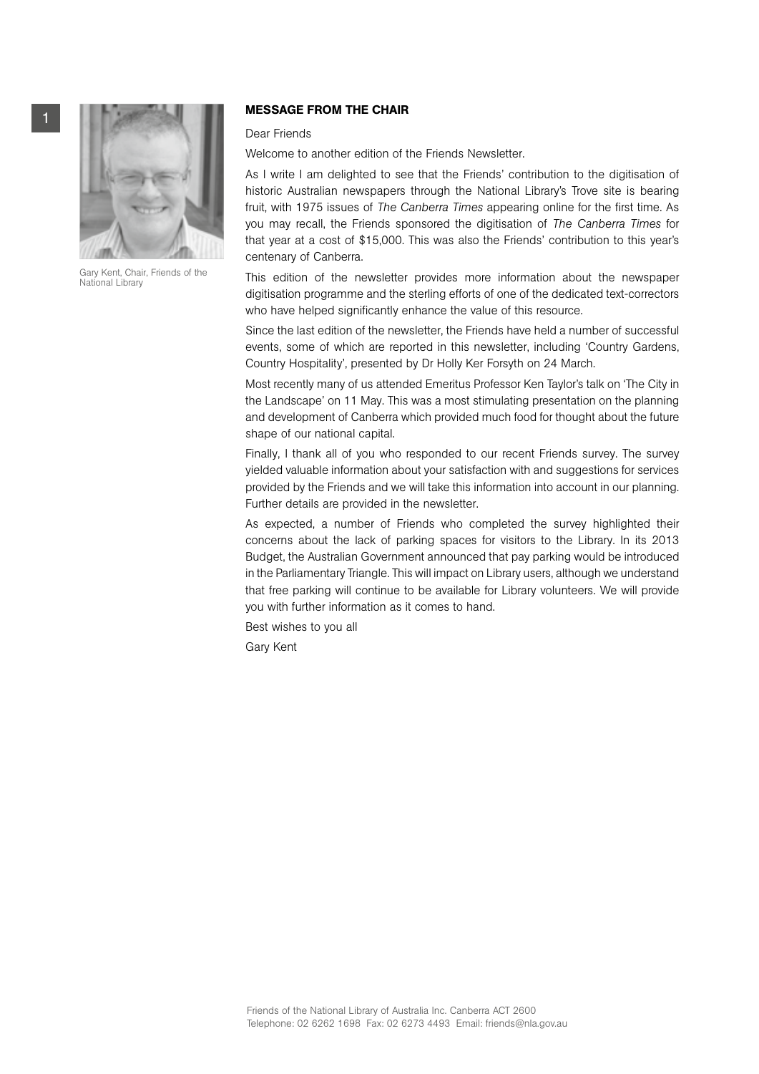

Gary Kent, Chair, Friends of the National Library

# **MESSAGE FROM THE CHAIR**

# Dear Friends

Welcome to another edition of the Friends Newsletter.

As I write I am delighted to see that the Friends' contribution to the digitisation of historic Australian newspapers through the National Library's Trove site is bearing fruit, with 1975 issues of *The Canberra Times* appearing online for the first time. As you may recall, the Friends sponsored the digitisation of *The Canberra Times* for that year at a cost of \$15,000. This was also the Friends' contribution to this year's centenary of Canberra.

This edition of the newsletter provides more information about the newspaper digitisation programme and the sterling efforts of one of the dedicated text-correctors who have helped significantly enhance the value of this resource.

Since the last edition of the newsletter, the Friends have held a number of successful events, some of which are reported in this newsletter, including 'Country Gardens, Country Hospitality', presented by Dr Holly Ker Forsyth on 24 March.

Most recently many of us attended Emeritus Professor Ken Taylor's talk on 'The City in the Landscape' on 11 May. This was a most stimulating presentation on the planning and development of Canberra which provided much food for thought about the future shape of our national capital.

Finally, I thank all of you who responded to our recent Friends survey. The survey yielded valuable information about your satisfaction with and suggestions for services provided by the Friends and we will take this information into account in our planning. Further details are provided in the newsletter.

As expected, a number of Friends who completed the survey highlighted their concerns about the lack of parking spaces for visitors to the Library. In its 2013 Budget, the Australian Government announced that pay parking would be introduced in the Parliamentary Triangle. This will impact on Library users, although we understand that free parking will continue to be available for Library volunteers. We will provide you with further information as it comes to hand.

Best wishes to you all

Gary Kent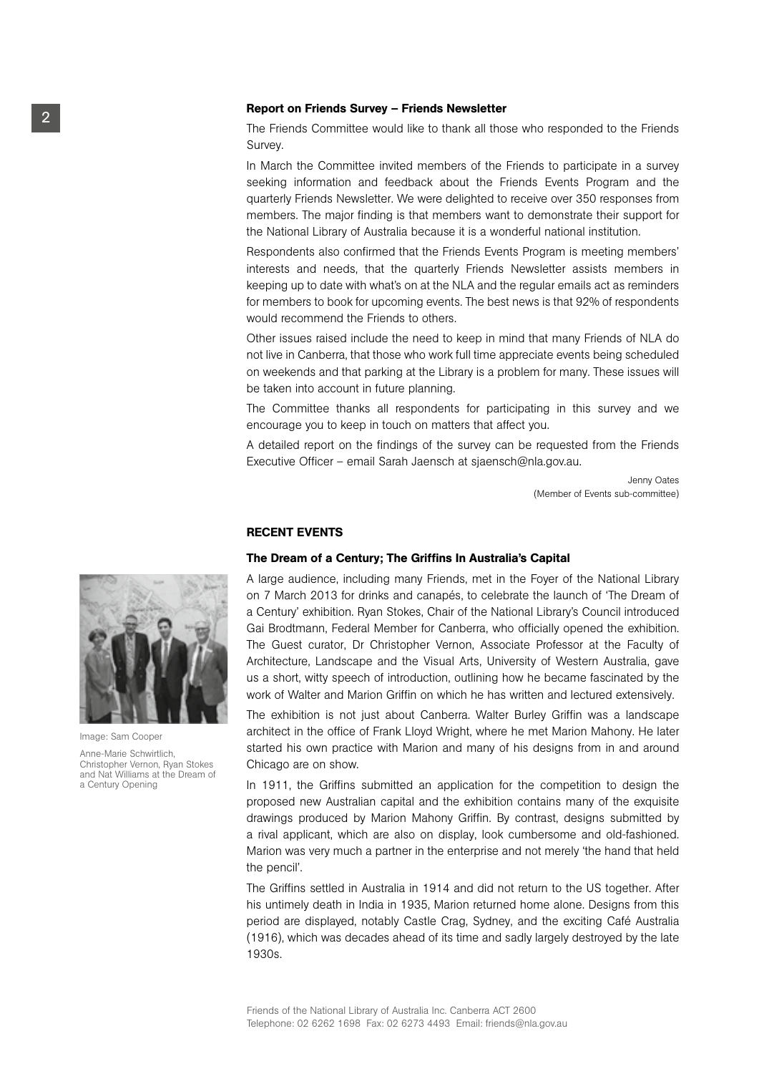# <sup>2</sup> Report on Friends Survey – Friends Newsletter

The Friends Committee would like to thank all those who responded to the Friends Survey.

In March the Committee invited members of the Friends to participate in a survey seeking information and feedback about the Friends Events Program and the quarterly Friends Newsletter. We were delighted to receive over 350 responses from members. The major finding is that members want to demonstrate their support for the National Library of Australia because it is a wonderful national institution.

Respondents also confirmed that the Friends Events Program is meeting members' interests and needs, that the quarterly Friends Newsletter assists members in keeping up to date with what's on at the NLA and the regular emails act as reminders for members to book for upcoming events. The best news is that 92% of respondents would recommend the Friends to others.

Other issues raised include the need to keep in mind that many Friends of NLA do not live in Canberra, that those who work full time appreciate events being scheduled on weekends and that parking at the Library is a problem for many. These issues will be taken into account in future planning.

The Committee thanks all respondents for participating in this survey and we encourage you to keep in touch on matters that affect you.

A detailed report on the findings of the survey can be requested from the Friends Executive Officer – email Sarah Jaensch at sjaensch@nla.gov.au.

> Jenny Oates (Member of Events sub-committee)

#### RECENT EVENTS

#### The Dream of a Century; The Griffins In Australia's Capital

A large audience, including many Friends, met in the Foyer of the National Library on 7 March 2013 for drinks and canapés, to celebrate the launch of 'The Dream of a Century' exhibition. Ryan Stokes, Chair of the National Library's Council introduced Gai Brodtmann, Federal Member for Canberra, who officially opened the exhibition. The Guest curator, Dr Christopher Vernon, Associate Professor at the Faculty of Architecture, Landscape and the Visual Arts, University of Western Australia, gave us a short, witty speech of introduction, outlining how he became fascinated by the work of Walter and Marion Griffin on which he has written and lectured extensively.

The exhibition is not just about Canberra. Walter Burley Griffin was a landscape architect in the office of Frank Lloyd Wright, where he met Marion Mahony. He later started his own practice with Marion and many of his designs from in and around Chicago are on show.

In 1911, the Griffins submitted an application for the competition to design the proposed new Australian capital and the exhibition contains many of the exquisite drawings produced by Marion Mahony Griffin. By contrast, designs submitted by a rival applicant, which are also on display, look cumbersome and old-fashioned. Marion was very much a partner in the enterprise and not merely 'the hand that held the pencil'.

The Griffins settled in Australia in 1914 and did not return to the US together. After his untimely death in India in 1935, Marion returned home alone. Designs from this period are displayed, notably Castle Crag, Sydney, and the exciting Café Australia (1916), which was decades ahead of its time and sadly largely destroyed by the late 1930s.



Image: Sam Cooper

Anne-Marie Schwirtlich, Christopher Vernon, Ryan Stokes and Nat Williams at the Dream of a Century Opening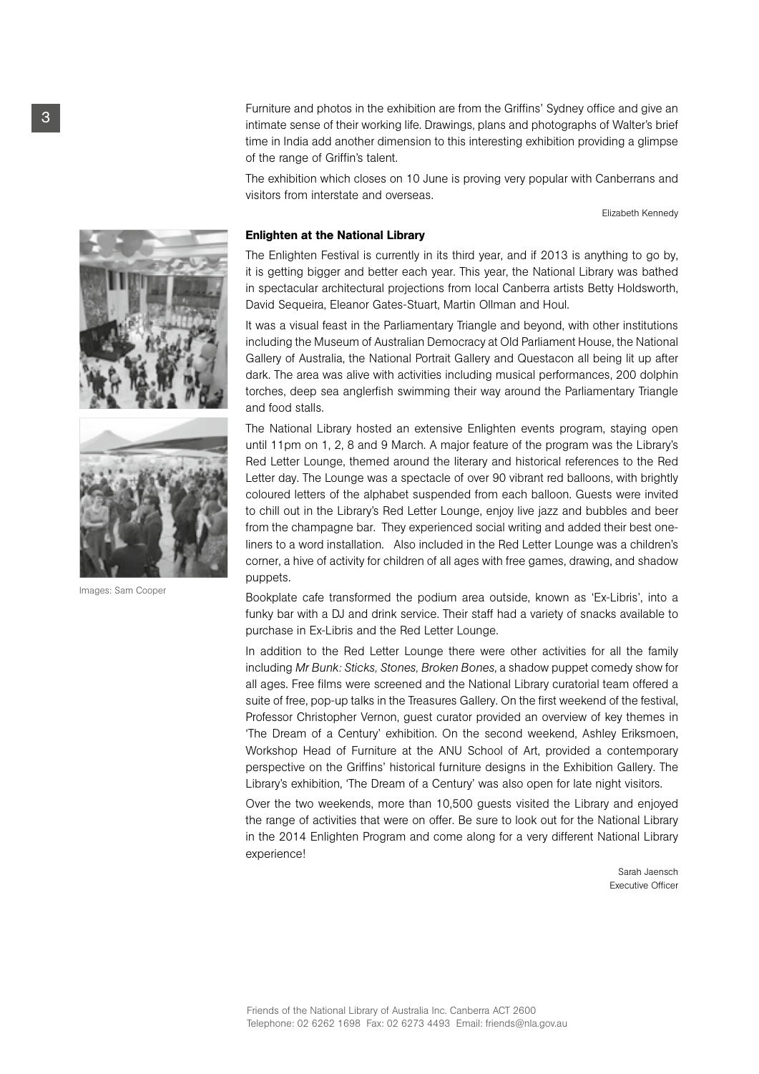**3 Furniture and photos in the exhibition are from the Griffins' Sydney office and give an<br>
<b>3** intimate sense of their working life. Drawings, plans and photographs of Walter's brief time in India add another dimension to this interesting exhibition providing a glimpse of the range of Griffin's talent.

> The exhibition which closes on 10 June is proving very popular with Canberrans and visitors from interstate and overseas.

> > Elizabeth Kennedy

#### Enlighten at the National Library

The Enlighten Festival is currently in its third year, and if 2013 is anything to go by, it is getting bigger and better each year. This year, the National Library was bathed in spectacular architectural projections from local Canberra artists Betty Holdsworth, David Sequeira, Eleanor Gates-Stuart, Martin Ollman and Houl.

It was a visual feast in the Parliamentary Triangle and beyond, with other institutions including the Museum of Australian Democracy at Old Parliament House, the National Gallery of Australia, the National Portrait Gallery and Questacon all being lit up after dark. The area was alive with activities including musical performances, 200 dolphin torches, deep sea anglerfish swimming their way around the Parliamentary Triangle and food stalls.

The National Library hosted an extensive Enlighten events program, staying open until 11pm on 1, 2, 8 and 9 March. A major feature of the program was the Library's Red Letter Lounge, themed around the literary and historical references to the Red Letter day. The Lounge was a spectacle of over 90 vibrant red balloons, with brightly coloured letters of the alphabet suspended from each balloon. Guests were invited to chill out in the Library's Red Letter Lounge, enjoy live jazz and bubbles and beer from the champagne bar. They experienced social writing and added their best oneliners to a word installation. Also included in the Red Letter Lounge was a children's corner, a hive of activity for children of all ages with free games, drawing, and shadow puppets.

Bookplate cafe transformed the podium area outside, known as 'Ex-Libris', into a funky bar with a DJ and drink service. Their staff had a variety of snacks available to purchase in Ex-Libris and the Red Letter Lounge.

In addition to the Red Letter Lounge there were other activities for all the family including *Mr Bunk: Sticks, Stones, Broken Bones*, a shadow puppet comedy show for all ages. Free films were screened and the National Library curatorial team offered a suite of free, pop-up talks in the Treasures Gallery. On the first weekend of the festival, Professor Christopher Vernon, guest curator provided an overview of key themes in 'The Dream of a Century' exhibition. On the second weekend, Ashley Eriksmoen, Workshop Head of Furniture at the ANU School of Art, provided a contemporary perspective on the Griffins' historical furniture designs in the Exhibition Gallery. The Library's exhibition, 'The Dream of a Century' was also open for late night visitors.

Over the two weekends, more than 10,500 guests visited the Library and enjoyed the range of activities that were on offer. Be sure to look out for the National Library in the 2014 Enlighten Program and come along for a very different National Library experience!

> Sarah Jaensch Executive Officer





Images: Sam Cooper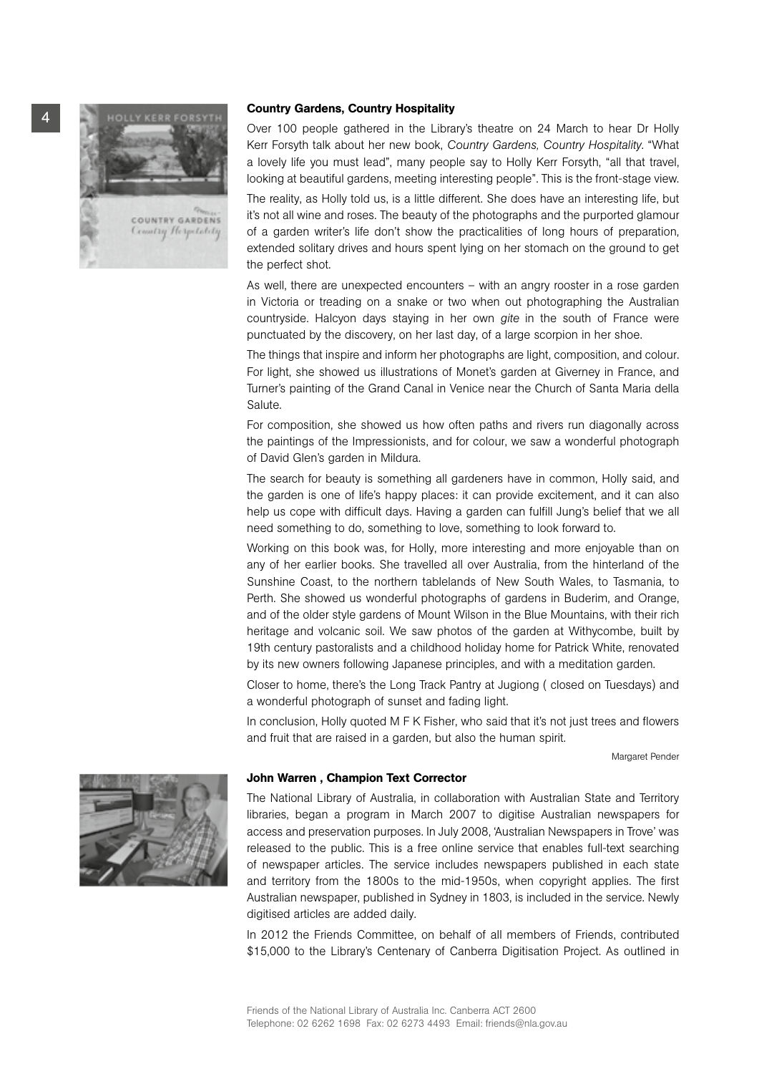

Over 100 people gathered in the Library's theatre on 24 March to hear Dr Holly Kerr Forsyth talk about her new book, *Country Gardens, Country Hospitality*. "What a lovely life you must lead", many people say to Holly Kerr Forsyth, "all that travel, looking at beautiful gardens, meeting interesting people". This is the front-stage view.

The reality, as Holly told us, is a little different. She does have an interesting life, but it's not all wine and roses. The beauty of the photographs and the purported glamour of a garden writer's life don't show the practicalities of long hours of preparation, extended solitary drives and hours spent lying on her stomach on the ground to get the perfect shot.

As well, there are unexpected encounters – with an angry rooster in a rose garden in Victoria or treading on a snake or two when out photographing the Australian countryside. Halcyon days staying in her own *gite* in the south of France were punctuated by the discovery, on her last day, of a large scorpion in her shoe.

The things that inspire and inform her photographs are light, composition, and colour. For light, she showed us illustrations of Monet's garden at Giverney in France, and Turner's painting of the Grand Canal in Venice near the Church of Santa Maria della Salute.

For composition, she showed us how often paths and rivers run diagonally across the paintings of the Impressionists, and for colour, we saw a wonderful photograph of David Glen's garden in Mildura.

The search for beauty is something all gardeners have in common, Holly said, and the garden is one of life's happy places: it can provide excitement, and it can also help us cope with difficult days. Having a garden can fulfill Jung's belief that we all need something to do, something to love, something to look forward to.

Working on this book was, for Holly, more interesting and more enjoyable than on any of her earlier books. She travelled all over Australia, from the hinterland of the Sunshine Coast, to the northern tablelands of New South Wales, to Tasmania, to Perth. She showed us wonderful photographs of gardens in Buderim, and Orange, and of the older style gardens of Mount Wilson in the Blue Mountains, with their rich heritage and volcanic soil. We saw photos of the garden at Withycombe, built by 19th century pastoralists and a childhood holiday home for Patrick White, renovated by its new owners following Japanese principles, and with a meditation garden.

Closer to home, there's the Long Track Pantry at Jugiong ( closed on Tuesdays) and a wonderful photograph of sunset and fading light.

In conclusion, Holly quoted M F K Fisher, who said that it's not just trees and flowers and fruit that are raised in a garden, but also the human spirit.

Margaret Pender

#### John Warren , Champion Text Corrector

The National Library of Australia, in collaboration with Australian State and Territory libraries, began a program in March 2007 to digitise Australian newspapers for access and preservation purposes. In July 2008, 'Australian Newspapers in Trove' was released to the public. This is a free online service that enables full-text searching of newspaper articles. The service includes newspapers published in each state and territory from the 1800s to the mid-1950s, when copyright applies. The first Australian newspaper, published in Sydney in 1803, is included in the service. Newly digitised articles are added daily.

In 2012 the Friends Committee, on behalf of all members of Friends, contributed \$15,000 to the Library's Centenary of Canberra Digitisation Project. As outlined in

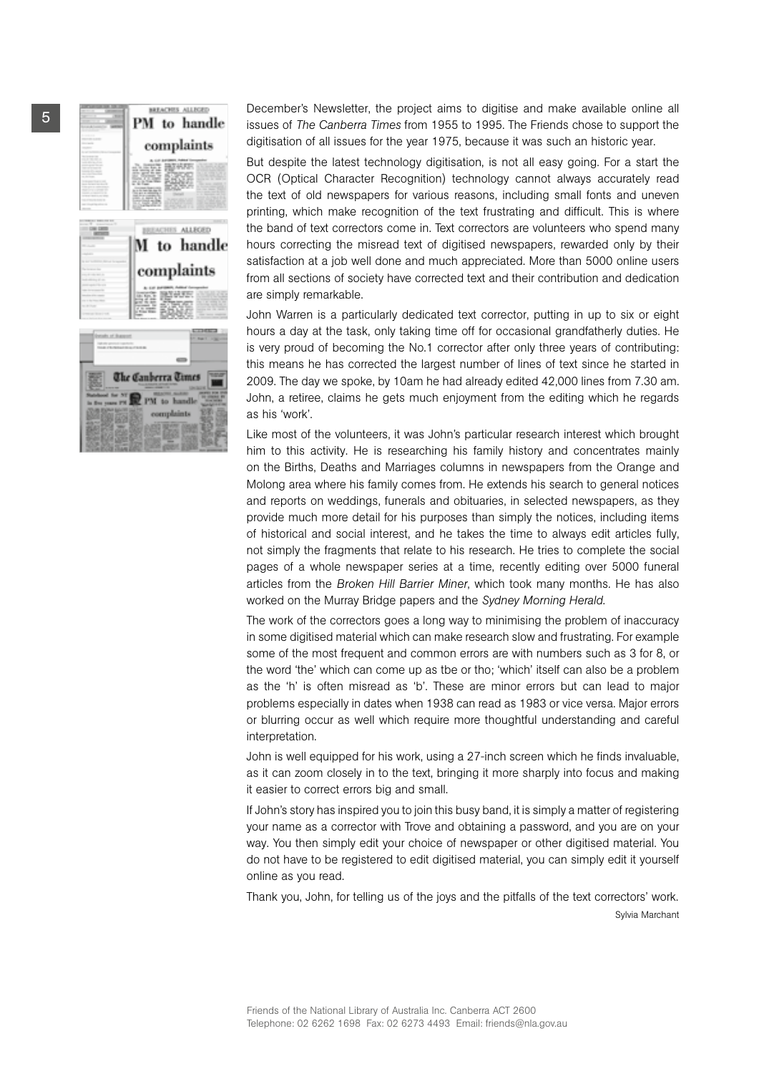

December's Newsletter, the project aims to digitise and make available online all issues of *The Canberra Times* from 1955 to 1995. The Friends chose to support the digitisation of all issues for the year 1975, because it was such an historic year.

But despite the latest technology digitisation, is not all easy going. For a start the OCR (Optical Character Recognition) technology cannot always accurately read the text of old newspapers for various reasons, including small fonts and uneven printing, which make recognition of the text frustrating and difficult. This is where the band of text correctors come in. Text correctors are volunteers who spend many hours correcting the misread text of digitised newspapers, rewarded only by their satisfaction at a job well done and much appreciated. More than 5000 online users from all sections of society have corrected text and their contribution and dedication are simply remarkable.

John Warren is a particularly dedicated text corrector, putting in up to six or eight hours a day at the task, only taking time off for occasional grandfatherly duties. He is very proud of becoming the No.1 corrector after only three years of contributing: this means he has corrected the largest number of lines of text since he started in 2009. The day we spoke, by 10am he had already edited 42,000 lines from 7.30 am. John, a retiree, claims he gets much enjoyment from the editing which he regards as his 'work'.

Like most of the volunteers, it was John's particular research interest which brought him to this activity. He is researching his family history and concentrates mainly on the Births, Deaths and Marriages columns in newspapers from the Orange and Molong area where his family comes from. He extends his search to general notices and reports on weddings, funerals and obituaries, in selected newspapers, as they provide much more detail for his purposes than simply the notices, including items of historical and social interest, and he takes the time to always edit articles fully, not simply the fragments that relate to his research. He tries to complete the social pages of a whole newspaper series at a time, recently editing over 5000 funeral articles from the *Broken Hill Barrier Miner*, which took many months. He has also worked on the Murray Bridge papers and the *Sydney Morning Herald*.

The work of the correctors goes a long way to minimising the problem of inaccuracy in some digitised material which can make research slow and frustrating. For example some of the most frequent and common errors are with numbers such as 3 for 8, or the word 'the' which can come up as tbe or tho; 'which' itself can also be a problem as the 'h' is often misread as 'b'. These are minor errors but can lead to major problems especially in dates when 1938 can read as 1983 or vice versa. Major errors or blurring occur as well which require more thoughtful understanding and careful interpretation.

John is well equipped for his work, using a 27-inch screen which he finds invaluable, as it can zoom closely in to the text, bringing it more sharply into focus and making it easier to correct errors big and small.

If John's story has inspired you to join this busy band, it is simply a matter of registering your name as a corrector with Trove and obtaining a password, and you are on your way. You then simply edit your choice of newspaper or other digitised material. You do not have to be registered to edit digitised material, you can simply edit it yourself online as you read.

Thank you, John, for telling us of the joys and the pitfalls of the text correctors' work. Sylvia Marchant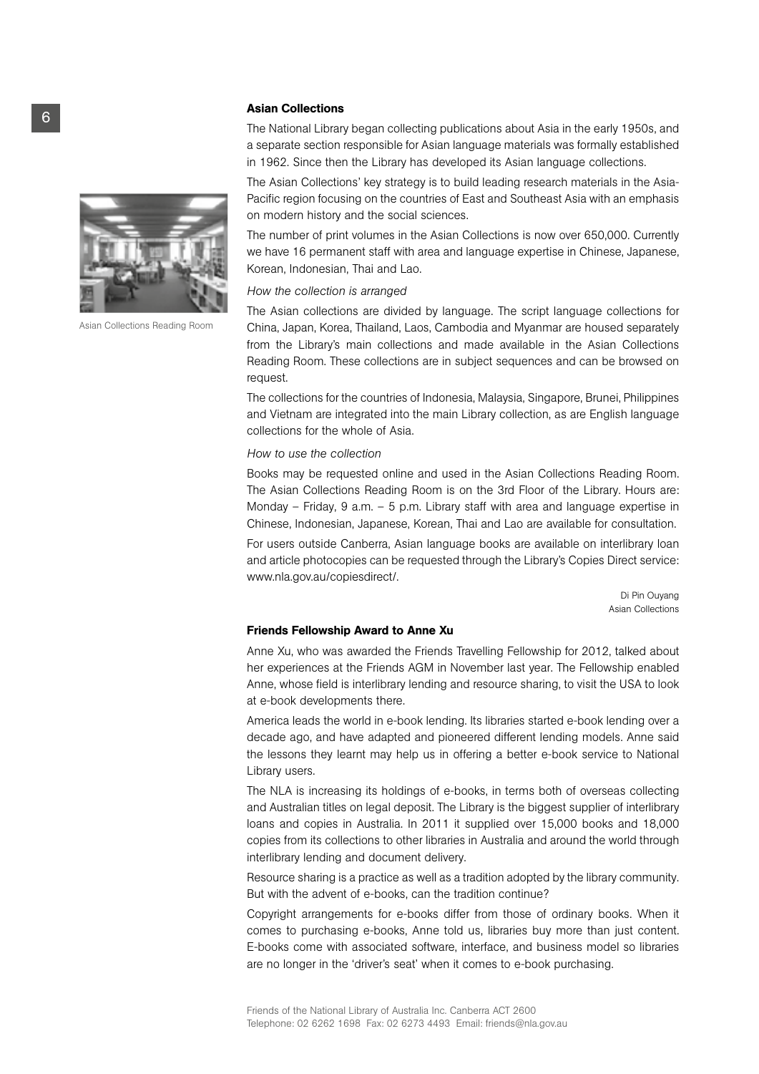#### Asian Collections

The National Library began collecting publications about Asia in the early 1950s, and a separate section responsible for Asian language materials was formally established in 1962. Since then the Library has developed its Asian language collections.

The Asian Collections' key strategy is to build leading research materials in the Asia-Pacific region focusing on the countries of East and Southeast Asia with an emphasis on modern history and the social sciences.

The number of print volumes in the Asian Collections is now over 650,000. Currently we have 16 permanent staff with area and language expertise in Chinese, Japanese, Korean, Indonesian, Thai and Lao.

#### *How the collection is arranged*

The Asian collections are divided by language. The script language collections for China, Japan, Korea, Thailand, Laos, Cambodia and Myanmar are housed separately from the Library's main collections and made available in the Asian Collections Reading Room. These collections are in subject sequences and can be browsed on request.

The collections for the countries of Indonesia, Malaysia, Singapore, Brunei, Philippines and Vietnam are integrated into the main Library collection, as are English language collections for the whole of Asia.

#### *How to use the collection*

Books may be requested online and used in the Asian Collections Reading Room. The Asian Collections Reading Room is on the 3rd Floor of the Library. Hours are: Monday – Friday, 9 a.m. – 5 p.m. Library staff with area and language expertise in Chinese, Indonesian, Japanese, Korean, Thai and Lao are available for consultation.

For users outside Canberra, Asian language books are available on interlibrary loan and article photocopies can be requested through the Library's Copies Direct service: www.nla.gov.au/copiesdirect/.

> Di Pin Ouyang Asian Collections

#### Friends Fellowship Award to Anne Xu

Anne Xu, who was awarded the Friends Travelling Fellowship for 2012, talked about her experiences at the Friends AGM in November last year. The Fellowship enabled Anne, whose field is interlibrary lending and resource sharing, to visit the USA to look at e-book developments there.

America leads the world in e-book lending. Its libraries started e-book lending over a decade ago, and have adapted and pioneered different lending models. Anne said the lessons they learnt may help us in offering a better e-book service to National Library users.

The NLA is increasing its holdings of e-books, in terms both of overseas collecting and Australian titles on legal deposit. The Library is the biggest supplier of interlibrary loans and copies in Australia. In 2011 it supplied over 15,000 books and 18,000 copies from its collections to other libraries in Australia and around the world through interlibrary lending and document delivery.

Resource sharing is a practice as well as a tradition adopted by the library community. But with the advent of e-books, can the tradition continue?

Copyright arrangements for e-books differ from those of ordinary books. When it comes to purchasing e-books, Anne told us, libraries buy more than just content. E-books come with associated software, interface, and business model so libraries are no longer in the 'driver's seat' when it comes to e-book purchasing.



Asian Collections Reading Room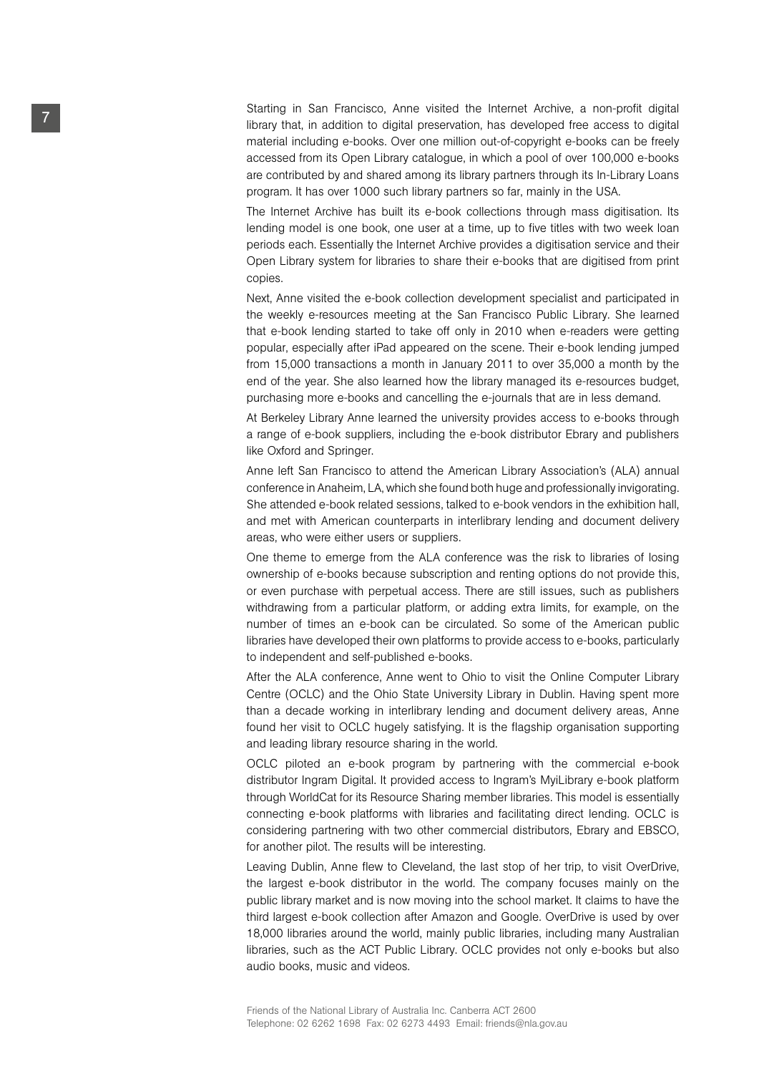Starting in San Francisco, Anne visited the Internet Archive, a non-profit digital library that, in addition to digital preservation, has developed free access to digital material including e-books. Over one million out-of-copyright e-books can be freely accessed from its Open Library catalogue, in which a pool of over 100,000 e-books are contributed by and shared among its library partners through its In-Library Loans program. It has over 1000 such library partners so far, mainly in the USA.

The Internet Archive has built its e-book collections through mass digitisation. Its lending model is one book, one user at a time, up to five titles with two week loan periods each. Essentially the Internet Archive provides a digitisation service and their Open Library system for libraries to share their e-books that are digitised from print copies.

Next, Anne visited the e-book collection development specialist and participated in the weekly e-resources meeting at the San Francisco Public Library. She learned that e-book lending started to take off only in 2010 when e-readers were getting popular, especially after iPad appeared on the scene. Their e-book lending jumped from 15,000 transactions a month in January 2011 to over 35,000 a month by the end of the year. She also learned how the library managed its e-resources budget, purchasing more e-books and cancelling the e-journals that are in less demand.

At Berkeley Library Anne learned the university provides access to e-books through a range of e-book suppliers, including the e-book distributor Ebrary and publishers like Oxford and Springer.

Anne left San Francisco to attend the American Library Association's (ALA) annual conference in Anaheim, LA, which she found both huge and professionally invigorating. She attended e-book related sessions, talked to e-book vendors in the exhibition hall, and met with American counterparts in interlibrary lending and document delivery areas, who were either users or suppliers.

One theme to emerge from the ALA conference was the risk to libraries of losing ownership of e-books because subscription and renting options do not provide this, or even purchase with perpetual access. There are still issues, such as publishers withdrawing from a particular platform, or adding extra limits, for example, on the number of times an e-book can be circulated. So some of the American public libraries have developed their own platforms to provide access to e-books, particularly to independent and self-published e-books.

After the ALA conference, Anne went to Ohio to visit the Online Computer Library Centre (OCLC) and the Ohio State University Library in Dublin. Having spent more than a decade working in interlibrary lending and document delivery areas, Anne found her visit to OCLC hugely satisfying. It is the flagship organisation supporting and leading library resource sharing in the world.

OCLC piloted an e-book program by partnering with the commercial e-book distributor Ingram Digital. It provided access to Ingram's MyiLibrary e-book platform through WorldCat for its Resource Sharing member libraries. This model is essentially connecting e-book platforms with libraries and facilitating direct lending. OCLC is considering partnering with two other commercial distributors, Ebrary and EBSCO, for another pilot. The results will be interesting.

Leaving Dublin, Anne flew to Cleveland, the last stop of her trip, to visit OverDrive, the largest e-book distributor in the world. The company focuses mainly on the public library market and is now moving into the school market. It claims to have the third largest e-book collection after Amazon and Google. OverDrive is used by over 18,000 libraries around the world, mainly public libraries, including many Australian libraries, such as the ACT Public Library. OCLC provides not only e-books but also audio books, music and videos.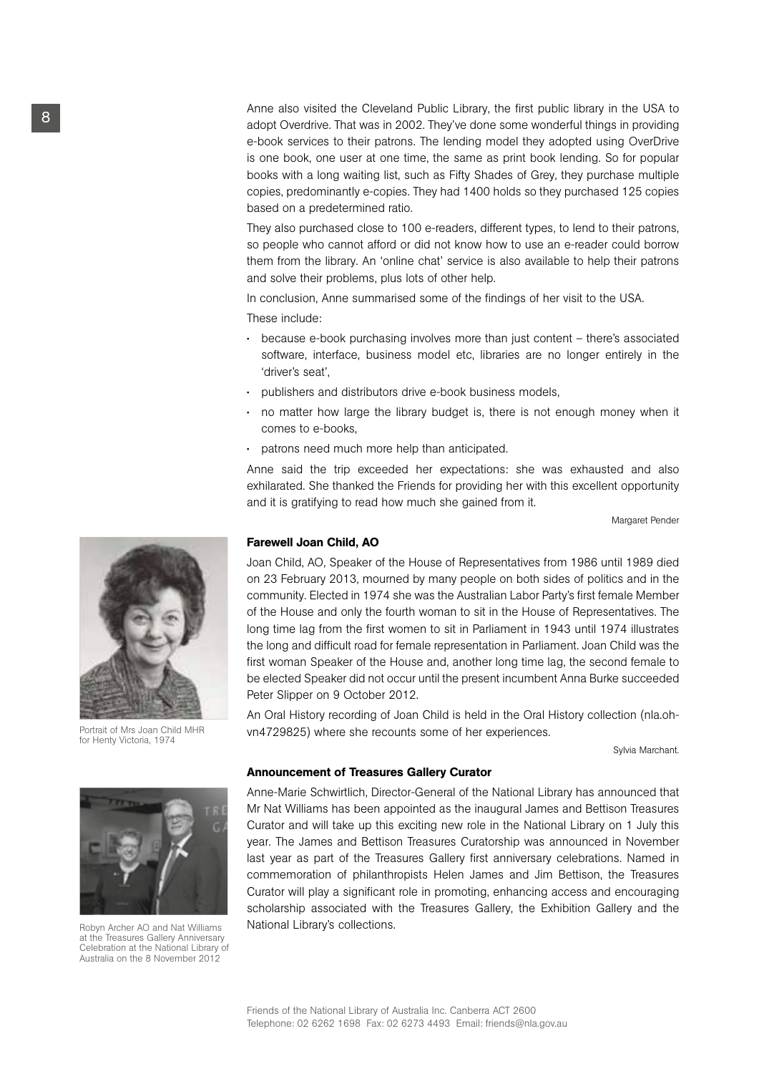Anne also visited the Cleveland Public Library, the first public library in the USA to adopt Overdrive. That was in 2002. They've done some wonderful things in providing e-book services to their patrons. The lending model they adopted using OverDrive is one book, one user at one time, the same as print book lending. So for popular books with a long waiting list, such as Fifty Shades of Grey, they purchase multiple copies, predominantly e-copies. They had 1400 holds so they purchased 125 copies based on a predetermined ratio.

They also purchased close to 100 e-readers, different types, to lend to their patrons, so people who cannot afford or did not know how to use an e-reader could borrow them from the library. An 'online chat' service is also available to help their patrons and solve their problems, plus lots of other help.

In conclusion, Anne summarised some of the findings of her visit to the USA.

These include:

- because e-book purchasing involves more than just content there's associated software, interface, business model etc, libraries are no longer entirely in the 'driver's seat',
- publishers and distributors drive e-book business models,
- no matter how large the library budget is, there is not enough money when it comes to e-books,
- patrons need much more help than anticipated.

Anne said the trip exceeded her expectations: she was exhausted and also exhilarated. She thanked the Friends for providing her with this excellent opportunity and it is gratifying to read how much she gained from it.

Margaret Pender

#### Farewell Joan Child, AO

Joan Child, AO, Speaker of the House of Representatives from 1986 until 1989 died on 23 February 2013, mourned by many people on both sides of politics and in the community. Elected in 1974 she was the Australian Labor Party's first female Member of the House and only the fourth woman to sit in the House of Representatives. The long time lag from the first women to sit in Parliament in 1943 until 1974 illustrates the long and difficult road for female representation in Parliament. Joan Child was the first woman Speaker of the House and, another long time lag, the second female to be elected Speaker did not occur until the present incumbent Anna Burke succeeded Peter Slipper on 9 October 2012.

An Oral History recording of Joan Child is held in the Oral History collection (nla.ohvn4729825) where she recounts some of her experiences.

Sylvia Marchant.

#### Announcement of Treasures Gallery Curator

Anne-Marie Schwirtlich, Director-General of the National Library has announced that Mr Nat Williams has been appointed as the inaugural James and Bettison Treasures Curator and will take up this exciting new role in the National Library on 1 July this year. The James and Bettison Treasures Curatorship was announced in November last year as part of the Treasures Gallery first anniversary celebrations. Named in commemoration of philanthropists Helen James and Jim Bettison, the Treasures Curator will play a significant role in promoting, enhancing access and encouraging scholarship associated with the Treasures Gallery, the Exhibition Gallery and the National Library's collections.



Portrait of Mrs Joan Child MHR for Henty Victoria, 1974



Robyn Archer AO and Nat Williams at the Treasures Gallery Anniversary Celebration at the National Library of Australia on the 8 November 2012

8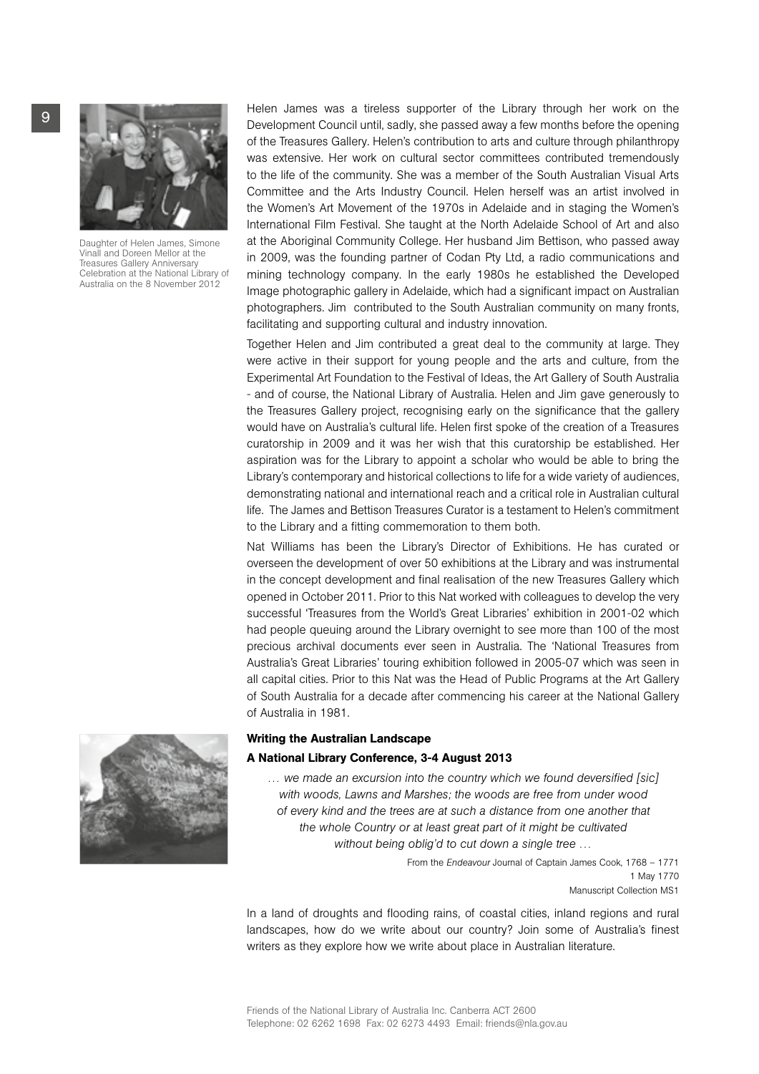

Daughter of Helen James, Simone Vinall and Doreen Mellor at the Treasures Gallery Anniversary Celebration at the National Library of Australia on the 8 November 2012

Helen James was a tireless supporter of the Library through her work on the Development Council until, sadly, she passed away a few months before the opening of the Treasures Gallery. Helen's contribution to arts and culture through philanthropy was extensive. Her work on cultural sector committees contributed tremendously to the life of the community. She was a member of the South Australian Visual Arts Committee and the Arts Industry Council. Helen herself was an artist involved in the Women's Art Movement of the 1970s in Adelaide and in staging the Women's International Film Festival. She taught at the North Adelaide School of Art and also at the Aboriginal Community College. Her husband Jim Bettison, who passed away in 2009, was the founding partner of Codan Pty Ltd, a radio communications and mining technology company. In the early 1980s he established the Developed Image photographic gallery in Adelaide, which had a significant impact on Australian photographers. Jim contributed to the South Australian community on many fronts, facilitating and supporting cultural and industry innovation.

Together Helen and Jim contributed a great deal to the community at large. They were active in their support for young people and the arts and culture, from the Experimental Art Foundation to the Festival of Ideas, the Art Gallery of South Australia - and of course, the National Library of Australia. Helen and Jim gave generously to the Treasures Gallery project, recognising early on the significance that the gallery would have on Australia's cultural life. Helen first spoke of the creation of a Treasures curatorship in 2009 and it was her wish that this curatorship be established. Her aspiration was for the Library to appoint a scholar who would be able to bring the Library's contemporary and historical collections to life for a wide variety of audiences, demonstrating national and international reach and a critical role in Australian cultural life. The James and Bettison Treasures Curator is a testament to Helen's commitment to the Library and a fitting commemoration to them both.

Nat Williams has been the Library's Director of Exhibitions. He has curated or overseen the development of over 50 exhibitions at the Library and was instrumental in the concept development and final realisation of the new Treasures Gallery which opened in October 2011. Prior to this Nat worked with colleagues to develop the very successful 'Treasures from the World's Great Libraries' exhibition in 2001-02 which had people queuing around the Library overnight to see more than 100 of the most precious archival documents ever seen in Australia. The 'National Treasures from Australia's Great Libraries' touring exhibition followed in 2005-07 which was seen in all capital cities. Prior to this Nat was the Head of Public Programs at the Art Gallery of South Australia for a decade after commencing his career at the National Gallery of Australia in 1981.



# Writing the Australian Landscape A National Library Conference, 3-4 August 2013

*… we made an excursion into the country which we found deversified [sic] with woods, Lawns and Marshes; the woods are free from under wood of every kind and the trees are at such a distance from one another that the whole Country or at least great part of it might be cultivated without being oblig'd to cut down a single tree …*

> From the *Endeavour* Journal of Captain James Cook, 1768 – 1771 1 May 1770 Manuscript Collection MS1

In a land of droughts and flooding rains, of coastal cities, inland regions and rural landscapes, how do we write about our country? Join some of Australia's finest writers as they explore how we write about place in Australian literature.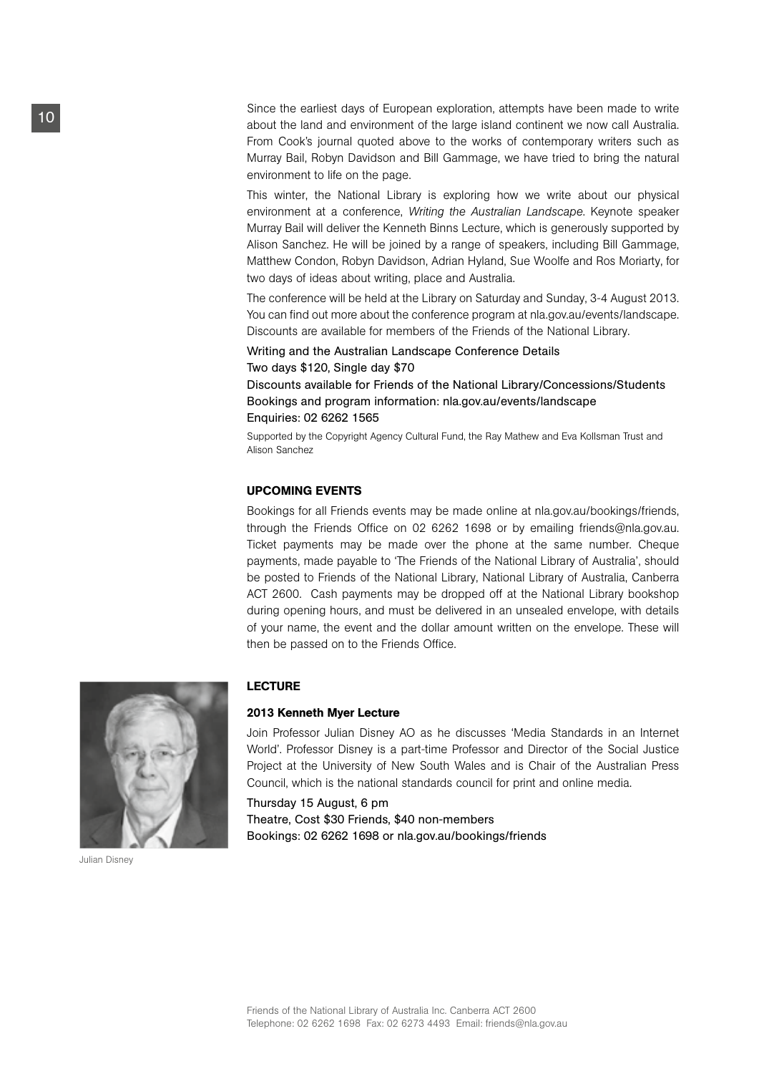Since the earliest days of European exploration, attempts have been made to write about the land and environment of the large island continent we now call Australia. From Cook's journal quoted above to the works of contemporary writers such as Murray Bail, Robyn Davidson and Bill Gammage, we have tried to bring the natural environment to life on the page.

This winter, the National Library is exploring how we write about our physical environment at a conference, *Writing the Australian Landscape*. Keynote speaker Murray Bail will deliver the Kenneth Binns Lecture, which is generously supported by Alison Sanchez. He will be joined by a range of speakers, including Bill Gammage, Matthew Condon, Robyn Davidson, Adrian Hyland, Sue Woolfe and Ros Moriarty, for two days of ideas about writing, place and Australia.

The conference will be held at the Library on Saturday and Sunday, 3-4 August 2013. You can find out more about the conference program at nla.gov.au/events/landscape. Discounts are available for members of the Friends of the National Library.

Writing and the Australian Landscape Conference Details Two days \$120, Single day \$70

Discounts available for Friends of the National Library/Concessions/Students Bookings and program information: nla.gov.au/events/landscape Enquiries: 02 6262 1565

Supported by the Copyright Agency Cultural Fund, the Ray Mathew and Eva Kollsman Trust and Alison Sanchez

## UPCOMING EVENTS

Bookings for all Friends events may be made online at nla.gov.au/bookings/friends, through the Friends Office on 02 6262 1698 or by emailing friends@nla.gov.au. Ticket payments may be made over the phone at the same number. Cheque payments, made payable to 'The Friends of the National Library of Australia', should be posted to Friends of the National Library, National Library of Australia, Canberra ACT 2600. Cash payments may be dropped off at the National Library bookshop during opening hours, and must be delivered in an unsealed envelope, with details of your name, the event and the dollar amount written on the envelope. These will then be passed on to the Friends Office.



Julian Disney

## **LECTURF**

#### 2013 Kenneth Myer Lecture

Join Professor Julian Disney AO as he discusses 'Media Standards in an Internet World'. Professor Disney is a part-time Professor and Director of the Social Justice Project at the University of New South Wales and is Chair of the Australian Press Council, which is the national standards council for print and online media.

Thursday 15 August, 6 pm Theatre, Cost \$30 Friends, \$40 non-members Bookings: 02 6262 1698 or nla.gov.au/bookings/friends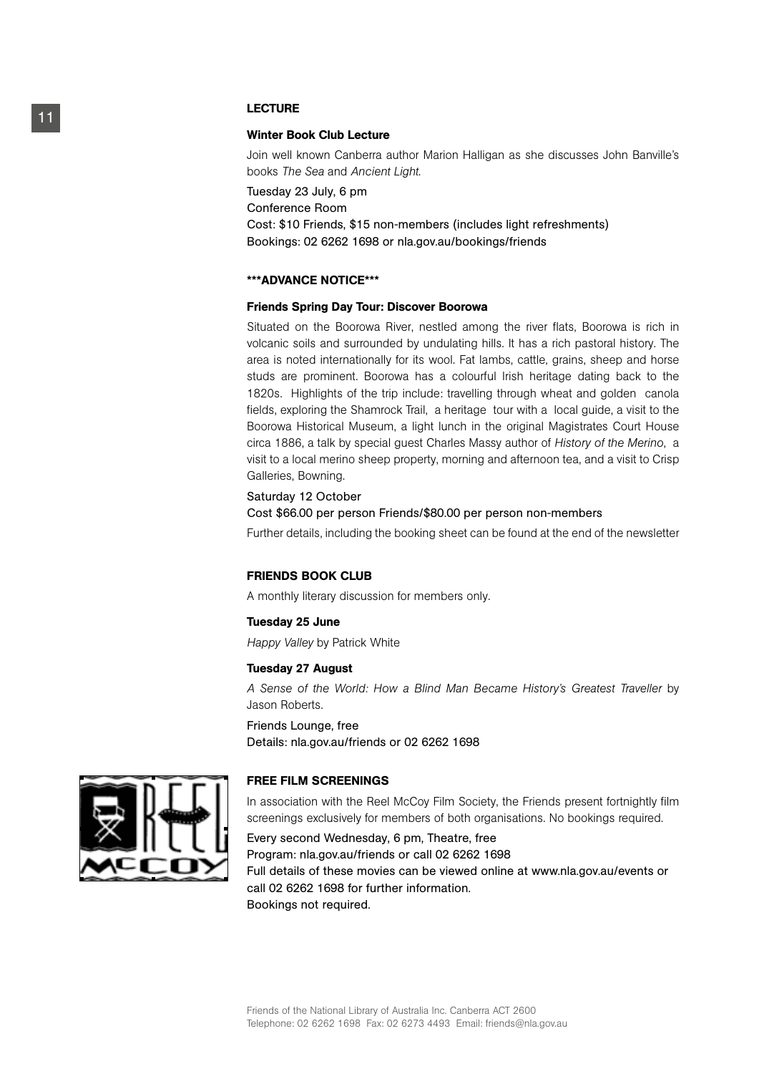# LECTURE

#### Winter Book Club Lecture

Join well known Canberra author Marion Halligan as she discusses John Banville's books *The Sea* and *Ancient Light*.

Tuesday 23 July, 6 pm Conference Room Cost: \$10 Friends, \$15 non-members (includes light refreshments) Bookings: 02 6262 1698 or nla.gov.au/bookings/friends

#### \*\*\*Advance Notice\*\*\*

#### Friends Spring Day Tour: Discover Boorowa

Situated on the Boorowa River, nestled among the river flats, Boorowa is rich in volcanic soils and surrounded by undulating hills. It has a rich pastoral history. The area is noted internationally for its wool. Fat lambs, cattle, grains, sheep and horse studs are prominent. Boorowa has a colourful Irish heritage dating back to the 1820s. Highlights of the trip include: travelling through wheat and golden canola fields, exploring the Shamrock Trail, a heritage tour with a local guide, a visit to the Boorowa Historical Museum, a light lunch in the original Magistrates Court House circa 1886, a talk by special guest Charles Massy author of *History of the Merino*, a visit to a local merino sheep property, morning and afternoon tea, and a visit to Crisp Galleries, Bowning.

#### Saturday 12 October

#### Cost \$66.00 per person Friends/\$80.00 per person non-members

Further details, including the booking sheet can be found at the end of the newsletter

#### FRIENDS BOOK CLUB

A monthly literary discussion for members only.

#### Tuesday 25 June

*Happy Valley* by Patrick White

#### Tuesday 27 August

*A Sense of the World: How a Blind Man Became History's Greatest Traveller* by Jason Roberts.

#### Friends Lounge, free

Details: nla.gov.au/friends or 02 6262 1698

#### FREE FILM SCREENINGS

In association with the Reel McCoy Film Society, the Friends present fortnightly film screenings exclusively for members of both organisations. No bookings required.

Every second Wednesday, 6 pm, Theatre, free Program: nla.gov.au/friends or call 02 6262 1698 Full details of these movies can be viewed online at www.nla.gov.au/events or call 02 6262 1698 for further information. Bookings not required.

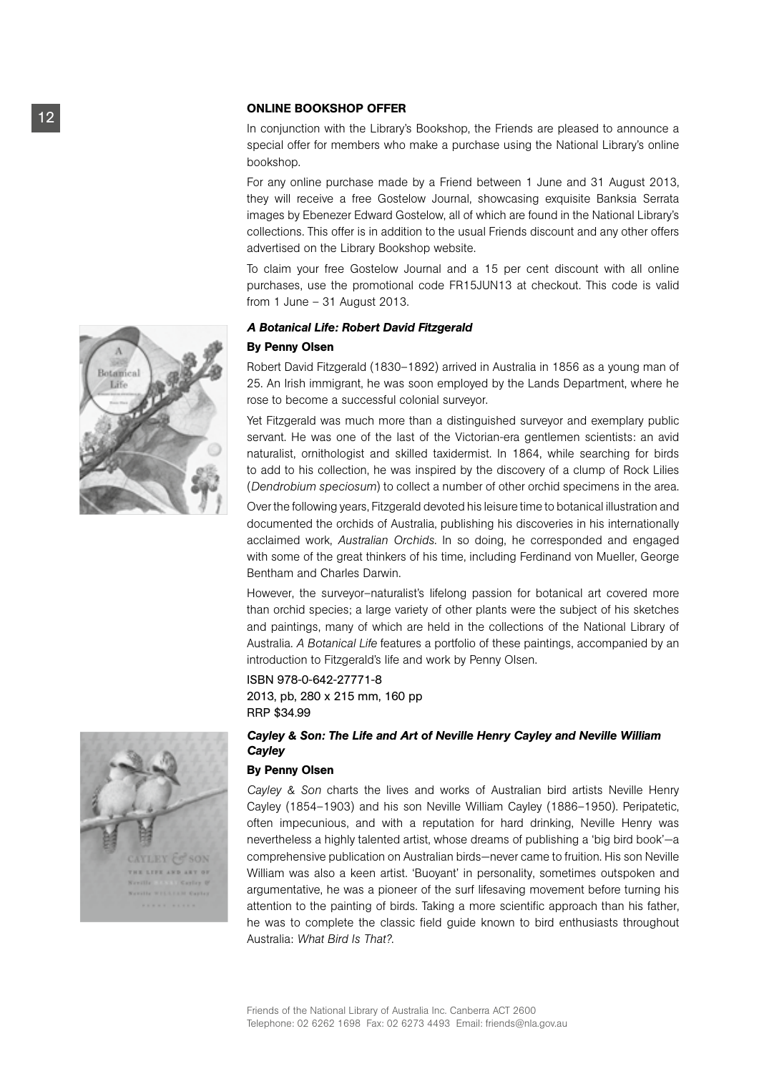#### Online Bookshop Offer

In conjunction with the Library's Bookshop, the Friends are pleased to announce a special offer for members who make a purchase using the National Library's online bookshop.

For any online purchase made by a Friend between 1 June and 31 August 2013, they will receive a free Gostelow Journal, showcasing exquisite Banksia Serrata images by Ebenezer Edward Gostelow, all of which are found in the National Library's collections. This offer is in addition to the usual Friends discount and any other offers advertised on the Library Bookshop website.

To claim your free Gostelow Journal and a 15 per cent discount with all online purchases, use the promotional code FR15JUN13 at checkout. This code is valid from 1 June – 31 August 2013.

#### *A Botanical Life: Robert David Fitzgerald*

#### By Penny Olsen

Robert David Fitzgerald (1830–1892) arrived in Australia in 1856 as a young man of 25. An Irish immigrant, he was soon employed by the Lands Department, where he rose to become a successful colonial surveyor.

Yet Fitzgerald was much more than a distinguished surveyor and exemplary public servant. He was one of the last of the Victorian-era gentlemen scientists: an avid naturalist, ornithologist and skilled taxidermist. In 1864, while searching for birds to add to his collection, he was inspired by the discovery of a clump of Rock Lilies (*Dendrobium speciosum*) to collect a number of other orchid specimens in the area.

Over the following years, Fitzgerald devoted his leisure time to botanical illustration and documented the orchids of Australia, publishing his discoveries in his internationally acclaimed work, *Australian Orchids*. In so doing, he corresponded and engaged with some of the great thinkers of his time, including Ferdinand von Mueller, George Bentham and Charles Darwin.

However, the surveyor–naturalist's lifelong passion for botanical art covered more than orchid species; a large variety of other plants were the subject of his sketches and paintings, many of which are held in the collections of the National Library of Australia. *A Botanical Life* features a portfolio of these paintings, accompanied by an introduction to Fitzgerald's life and work by Penny Olsen.

#### ISBN 978-0-642-27771-8

2013, pb, 280 x 215 mm, 160 pp RRP \$34.99

# *Cayley & Son: The Life and Art of Neville Henry Cayley and Neville William Cayley*

#### By Penny Olsen

*Cayley & Son* charts the lives and works of Australian bird artists Neville Henry Cayley (1854–1903) and his son Neville William Cayley (1886–1950). Peripatetic, often impecunious, and with a reputation for hard drinking, Neville Henry was nevertheless a highly talented artist, whose dreams of publishing a 'big bird book'—a comprehensive publication on Australian birds—never came to fruition. His son Neville William was also a keen artist. 'Buoyant' in personality, sometimes outspoken and argumentative, he was a pioneer of the surf lifesaving movement before turning his attention to the painting of birds. Taking a more scientific approach than his father, he was to complete the classic field guide known to bird enthusiasts throughout Australia: *What Bird Is That?*.



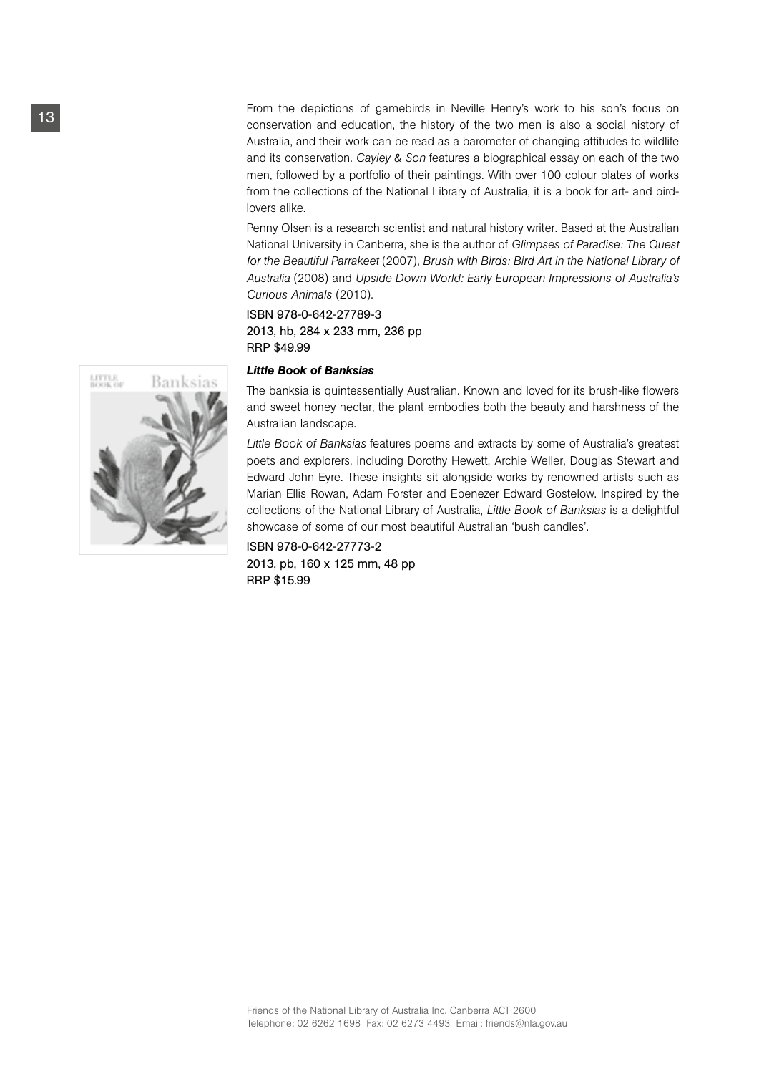From the depictions of gamebirds in Neville Henry's work to his son's focus on conservation and education, the history of the two men is also a social history of Australia, and their work can be read as a barometer of changing attitudes to wildlife and its conservation. *Cayley & Son* features a biographical essay on each of the two men, followed by a portfolio of their paintings. With over 100 colour plates of works from the collections of the National Library of Australia, it is a book for art- and birdlovers alike.

Penny Olsen is a research scientist and natural history writer. Based at the Australian National University in Canberra, she is the author of *Glimpses of Paradise: The Quest for the Beautiful Parrakeet* (2007), *Brush with Birds: Bird Art in the National Library of Australia* (2008) and *Upside Down World: Early European Impressions of Australia's Curious Animals* (2010).

# ISBN 978-0-642-27789-3 2013, hb, 284 x 233 mm, 236 pp RRP \$49.99

#### *Little Book of Banksias*

The banksia is quintessentially Australian. Known and loved for its brush-like flowers and sweet honey nectar, the plant embodies both the beauty and harshness of the Australian landscape.

*Little Book of Banksias* features poems and extracts by some of Australia's greatest poets and explorers, including Dorothy Hewett, Archie Weller, Douglas Stewart and Edward John Eyre. These insights sit alongside works by renowned artists such as Marian Ellis Rowan, Adam Forster and Ebenezer Edward Gostelow. Inspired by the collections of the National Library of Australia, *Little Book of Banksias* is a delightful showcase of some of our most beautiful Australian 'bush candles'.

ISBN 978-0-642-27773-2 2013, pb, 160 x 125 mm, 48 pp RRP \$15.99

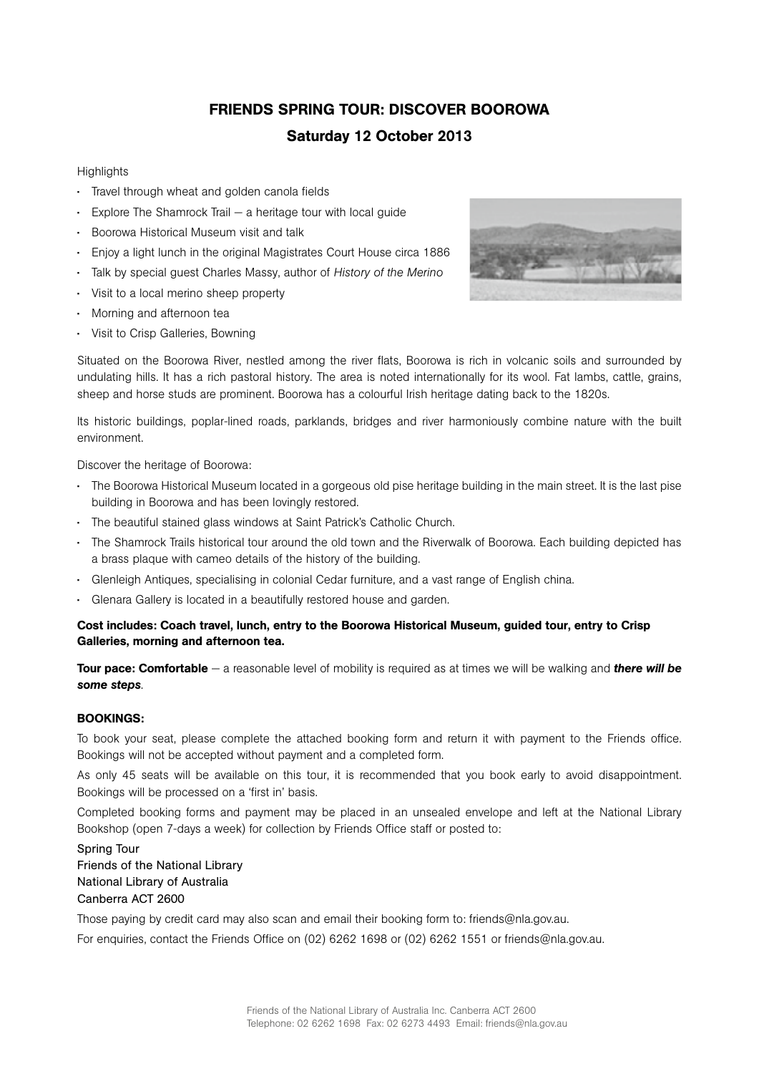# Friends Spring Tour: Discover Boorowa Saturday 12 October 2013

# **Highlights**

- Travel through wheat and golden canola fields
- Explore The Shamrock Trail a heritage tour with local guide
- Boorowa Historical Museum visit and talk
- Enjoy a light lunch in the original Magistrates Court House circa 1886
- Talk by special guest Charles Massy, author of *History of the Merino*
- Visit to a local merino sheep property
- Morning and afternoon tea
- Visit to Crisp Galleries, Bowning



Situated on the Boorowa River, nestled among the river flats, Boorowa is rich in volcanic soils and surrounded by undulating hills. It has a rich pastoral history. The area is noted internationally for its wool. Fat lambs, cattle, grains, sheep and horse studs are prominent. Boorowa has a colourful Irish heritage dating back to the 1820s.

Its historic buildings, poplar-lined roads, parklands, bridges and river harmoniously combine nature with the built environment.

Discover the heritage of Boorowa:

- The Boorowa Historical Museum located in a gorgeous old pise heritage building in the main street. It is the last pise building in Boorowa and has been lovingly restored.
- The beautiful stained glass windows at Saint Patrick's Catholic Church.
- The Shamrock Trails historical tour around the old town and the Riverwalk of Boorowa. Each building depicted has a brass plaque with cameo details of the history of the building.
- Glenleigh Antiques, specialising in colonial Cedar furniture, and a vast range of English china.
- Glenara Gallery is located in a beautifully restored house and garden.

# Cost includes: Coach travel, lunch, entry to the Boorowa Historical Museum, guided tour, entry to Crisp Galleries, morning and afternoon tea.

Tour pace: Comfortable — a reasonable level of mobility is required as at times we will be walking and *there will be some steps*.

## BOOKINGS:

To book your seat, please complete the attached booking form and return it with payment to the Friends office. Bookings will not be accepted without payment and a completed form.

As only 45 seats will be available on this tour, it is recommended that you book early to avoid disappointment. Bookings will be processed on a 'first in' basis.

Completed booking forms and payment may be placed in an unsealed envelope and left at the National Library Bookshop (open 7-days a week) for collection by Friends Office staff or posted to:

Spring Tour Friends of the National Library National Library of Australia Canberra ACT 2600

Those paying by credit card may also scan and email their booking form to: friends@nla.gov.au.

For enquiries, contact the Friends Office on (02) 6262 1698 or (02) 6262 1551 or friends@nla.gov.au.